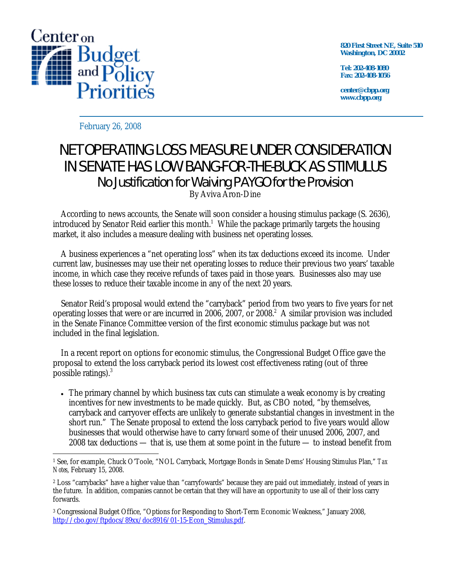

**820 First Street NE, Suite 510 Washington, DC 20002** 

**Tel: 202-408-1080 Fax: 202-408-1056** 

**center@cbpp.org www.cbpp.org** 

February 26, 2008

## NET OPERATING LOSS MEASURE UNDER CONSIDERATION IN SENATE HAS LOW BANG-FOR-THE-BUCK AS STIMULUS No Justification for Waiving PAYGO for the Provision By Aviva Aron-Dine

 According to news accounts, the Senate will soon consider a housing stimulus package (S. 2636), introduced by Senator Reid earlier this month.<sup>1</sup> While the package primarily targets the housing market, it also includes a measure dealing with business net operating losses.

 A business experiences a "net operating loss" when its tax deductions exceed its income. Under current law, businesses may use their net operating losses to reduce their previous two years' taxable income, in which case they receive refunds of taxes paid in those years. Businesses also may use these losses to reduce their taxable income in any of the next 20 years.

 Senator Reid's proposal would extend the "carryback" period from two years to five years for net operating losses that were or are incurred in 2006, 2007, or 2008. $^2$  A similar provision was included in the Senate Finance Committee version of the first economic stimulus package but was not included in the final legislation.

 In a recent report on options for economic stimulus, the Congressional Budget Office gave the proposal to extend the loss carryback period its lowest cost effectiveness rating (out of three possible ratings).<sup>3</sup>

• The primary channel by which business tax cuts can stimulate a weak economy is by creating incentives for new investments to be made quickly. But, as CBO noted, "by themselves, carryback and carryover effects are unlikely to generate substantial changes in investment in the short run." The Senate proposal to extend the loss carryback period to five years would allow businesses that would otherwise have to carry *forward* some of their unused 2006, 2007, and 2008 tax deductions — that is, use them at some point in the future — to instead benefit from

 $\overline{a}$ 1 See, for example, Chuck O'Toole, "NOL Carryback, Mortgage Bonds in Senate Dems' Housing Stimulus Plan," *Tax Notes*, February 15, 2008.

<sup>2</sup> Loss "carrybacks" have a higher value than "carryfowards" because they are paid out immediately, instead of years in the future. In addition, companies cannot be certain that they will have an opportunity to use all of their loss carry forwards.

<sup>3</sup> Congressional Budget Office, "Options for Responding to Short-Term Economic Weakness," January 2008, http://cbo.gov/ftpdocs/89xx/doc8916/01-15-Econ\_Stimulus.pdf.